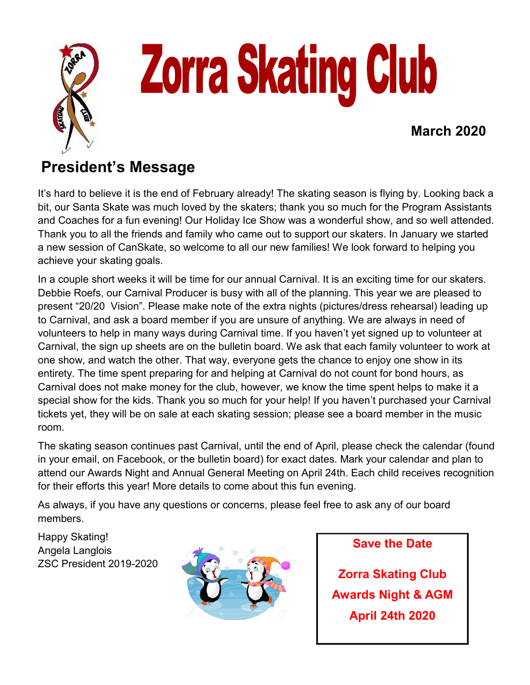

## **President's Message**

It's hard to believe it is the end of February already! The skating season is flying by. Looking back a bit, our Santa Skate was much loved by the skaters; thank you so much for the Program Assistants and Coaches for a fun evening! Our Holiday Ice Show was a wonderful show, and so well attended. Thank you to all the friends and family who came out to support our skaters. In January we started a new session of CanSkate, so welcome to all our new families! We look forward to helping you achieve your skating goals.

In a couple short weeks it will be time for our annual Carnival. It is an exciting time for our skaters. Debbie Roefs, our Carnival Producer is busy with all of the planning. This year we are pleased to present "20/20 Vision". Please make note of the extra nights (pictures/dress rehearsal) leading up to Carnival, and ask a board member if you are unsure of anything. We are always in need of volunteers to help in many ways during Carnival time. If you haven't yet signed up to volunteer at Carnival, the sign up sheets are on the bulletin board. We ask that each family volunteer to work at one show, and watch the other. That way, everyone gets the chance to enjoy one show in its entirety. The time spent preparing for and helping at Carnival do not count for bond hours, as Carnival does not make money for the club, however, we know the time spent helps to make it a special show for the kids. Thank you so much for your help! If you haven't purchased your Carnival tickets yet, they will be on sale at each skating session; please see a board member in the music room.

The skating season continues past Carnival, until the end of April, please check the calendar (found in your email, on Facebook, or the bulletin board) for exact dates. Mark your calendar and plan to attend our Awards Night and Annual General Meeting on April 24th. Each child receives recognition for their efforts this year! More details to come about this fun evening.

As always, if you have any questions or concerns, please feel free to ask any of our board members.

Happy Skating! Angela Langlois ZSC President 2019-2020



**Save the Date**

**Zorra Skating Club Awards Night & AGM April 24th 2020**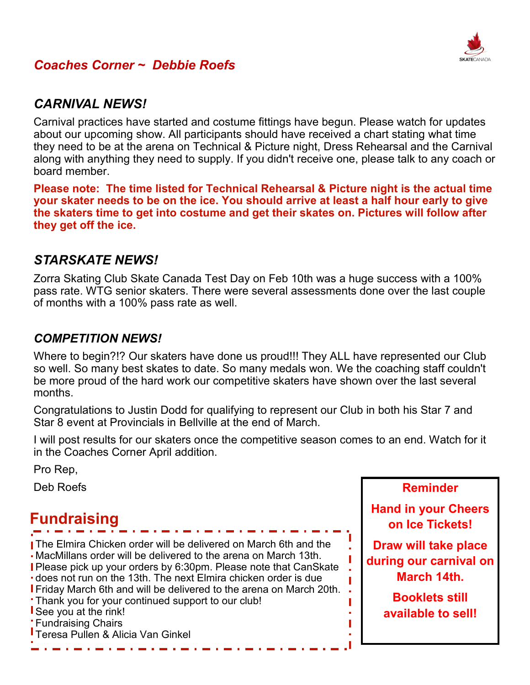

#### *Coaches Corner ~ Debbie Roefs*

#### *CARNIVAL NEWS!*

Carnival practices have started and costume fittings have begun. Please watch for updates about our upcoming show. All participants should have received a chart stating what time they need to be at the arena on Technical & Picture night, Dress Rehearsal and the Carnival along with anything they need to supply. If you didn't receive one, please talk to any coach or board member.

**Please note: The time listed for Technical Rehearsal & Picture night is the actual time your skater needs to be on the ice. You should arrive at least a half hour early to give the skaters time to get into costume and get their skates on. Pictures will follow after they get off the ice.**

#### *STARSKATE NEWS!*

Zorra Skating Club Skate Canada Test Day on Feb 10th was a huge success with a 100% pass rate. WTG senior skaters. There were several assessments done over the last couple of months with a 100% pass rate as well.

#### *COMPETITION NEWS!*

Where to begin?!? Our skaters have done us proud!!! They ALL have represented our Club so well. So many best skates to date. So many medals won. We the coaching staff couldn't be more proud of the hard work our competitive skaters have shown over the last several months.

Congratulations to Justin Dodd for qualifying to represent our Club in both his Star 7 and Star 8 event at Provincials in Bellville at the end of March.

I will post results for our skaters once the competitive season comes to an end. Watch for it in the Coaches Corner April addition.

Pro Rep,

Deb Roefs

## **Fundraising**

 The Elmira Chicken order will be delivered on March 6th and the MacMillans order will be delivered to the arena on March 13th. Please pick up your orders by 6:30pm. Please note that CanSkate does not run on the 13th. The next Elmira chicken order is due **Friday March 6th and will be delivered to the arena on March 20th.** Thank you for your continued support to our club! See you at the rink! **Fundraising Chairs** Teresa Pullen & Alicia Van Ginkel

**Reminder**

**Hand in your Cheers on Ice Tickets!**

**Draw will take place during our carnival on March 14th.**

> **Booklets still available to sell!**